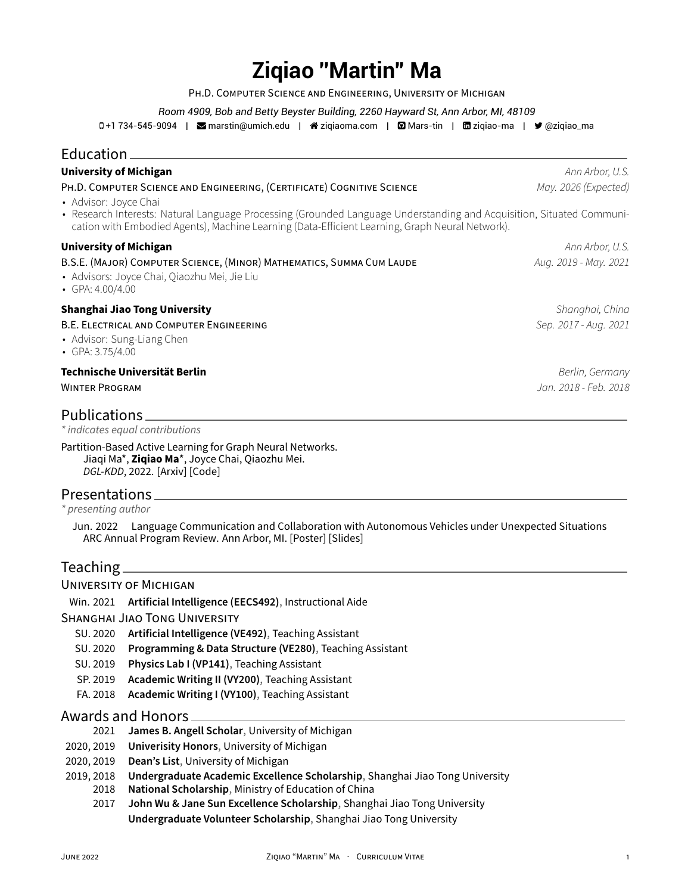# **Ziqiao ''Martin'' Ma**

PH.D. COMPUTER SCiENCE AND ENGiNEERiNG, UNiVERSiTY OF MiCHiGAN

*Room 4909, Bob and Betty Beyster Building, 2260 Hayward St, Ann Arbor, MI, 48109*

0+1 734-545-9094 | **S** [marstin@umich.edu](mailto:marstin@umich.edu) | ペ [ziqiaoma.com](http://ziqiaoma.com) | **Q** [Mars-tin](https://github.com/Mars-tin) | m [ziqiao-ma](https://www.linkedin.com/in/ziqiao-ma) | ♥ [@ziqiao\\_ma](https://twitter.com/@ziqiao_ma)

### Education **Education**

| <b>University of Michigan</b>                                                                                                                                                                                                                     | Ann Arbor, U.S.       |
|---------------------------------------------------------------------------------------------------------------------------------------------------------------------------------------------------------------------------------------------------|-----------------------|
| PH.D. COMPUTER SCIENCE AND ENGINEERING, (CERTIFICATE) COGNITIVE SCIENCE                                                                                                                                                                           | May. 2026 (Expected)  |
| • Advisor: Joyce Chai<br>• Research Interests: Natural Language Processing (Grounded Language Understanding and Acquisition, Situated Communi-<br>cation with Embodied Agents), Machine Learning (Data-Efficient Learning, Graph Neural Network). |                       |
| <b>University of Michigan</b>                                                                                                                                                                                                                     | Ann Arbor, U.S.       |
| B.S.E. (MAJOR) COMPUTER SCIENCE, (MINOR) MATHEMATICS, SUMMA CUM LAUDE<br>· Advisors: Joyce Chai, Qiaozhu Mei, Jie Liu<br>• GPA: $4.00/4.00$                                                                                                       | Aug. 2019 - May. 2021 |
| <b>Shanghai Jiao Tong University</b>                                                                                                                                                                                                              | Shanghai, China       |
| B.E. ELECTRICAL AND COMPUTER ENGINEERING<br>• Advisor: Sung-Liang Chen<br>• GPA: $3.75/4.00$                                                                                                                                                      | Sep. 2017 - Aug. 2021 |
| Technische Universität Berlin                                                                                                                                                                                                                     | Berlin, Germany       |
| <b>WINTER PROGRAM</b>                                                                                                                                                                                                                             | Jan. 2018 - Feb. 2018 |
| Publications                                                                                                                                                                                                                                      |                       |
| * indicates equal contributions                                                                                                                                                                                                                   |                       |
| Partition-Based Active Learning for Graph Neural Networks.<br>Jiaqi Ma*, Ziqiao Ma*, Joyce Chai, Qiaozhu Mei.                                                                                                                                     |                       |

Presentations

*\* presenting author*

Jun. 2022 Language Communication and Collaboration with Autonomous Vehicles under Unexpected Situations [ARC Annual Program Review.](https://arc.engin.umich.edu/events/annual-program-review/) Ann Arbor, MI. [\[Poster\]](https://drive.google.com/file/d/1BTorBxOE8dmzw4uu4bbBWRGez7z2snys/view?usp=sharing) [\[Slides\]](https://docs.google.com/presentation/d/13adLR2fmcyLXn_0j971k0EzZUGryKebm/edit?usp=sharing&ouid=117940169806213398017&rtpof=true&sd=true)

#### Teaching $\equiv$

#### UNiVERSiTY OF MiCHiGAN

Win. 2021 **Artificial Intelligence (EECS492)**, Instructional Aide

SHANGHAi JiAO TONG UNiVERSiTY

*DGL‑KDD*, 2022. [\[Arxiv\]](https://arxiv.org/abs/2201.09391) [\[Code\]](https://github.com/Mars-tin/GraphPart)

- SU. 2020 **Artificial Intelligence (VE492)**, Teaching Assistant
- SU. 2020 **Programming & Data Structure (VE280)**, Teaching Assistant
- SU. 2019 **Physics Lab I (VP141)**, Teaching Assistant
- SP. 2019 **Academic Writing II (VY200)**, Teaching Assistant
- FA. 2018 **Academic Writing I (VY100)**, Teaching Assistant

#### Awards and Honors

- 2021 **James B. Angell Scholar**, University of Michigan
- 2020, 2019 **Univerisity Honors**, University of Michigan
- 2020, 2019 **Dean's List**, University of Michigan
- 2019, 2018 **Undergraduate Academic Excellence Scholarship**, Shanghai Jiao Tong University
	- 2018 **National Scholarship**, Ministry of Education of China
		- 2017 **John Wu & Jane Sun Excellence Scholarship**, Shanghai Jiao Tong University **Undergraduate Volunteer Scholarship**, Shanghai Jiao Tong University